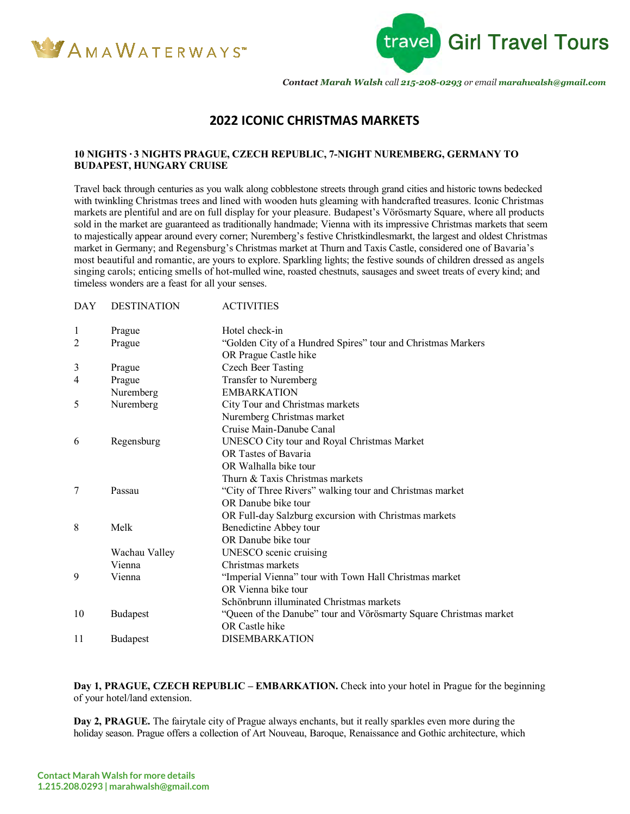



*Contact Marah Walsh call 215-208-0293 or email marahwalsh@gmail.com*

## **2022 ICONIC CHRISTMAS MARKETS**

## **10 NIGHTS ∙ 3 NIGHTS PRAGUE, CZECH REPUBLIC, 7-NIGHT NUREMBERG, GERMANY TO BUDAPEST, HUNGARY CRUISE**

Travel back through centuries as you walk along cobblestone streets through grand cities and historic towns bedecked with twinkling Christmas trees and lined with wooden huts gleaming with handcrafted treasures. Iconic Christmas markets are plentiful and are on full display for your pleasure. Budapest's Vörösmarty Square, where all products sold in the market are guaranteed as traditionally handmade; Vienna with its impressive Christmas markets that seem to majestically appear around every corner; Nuremberg's festive Christkindlesmarkt, the largest and oldest Christmas market in Germany; and Regensburg's Christmas market at Thurn and Taxis Castle, considered one of Bavaria's most beautiful and romantic, are yours to explore. Sparkling lights; the festive sounds of children dressed as angels singing carols; enticing smells of hot-mulled wine, roasted chestnuts, sausages and sweet treats of every kind; and timeless wonders are a feast for all your senses.

| <b>DAY</b>     | <b>DESTINATION</b> | <b>ACTIVITIES</b>                                                                     |
|----------------|--------------------|---------------------------------------------------------------------------------------|
| 1              | Prague             | Hotel check-in                                                                        |
| $\overline{2}$ | Prague             | "Golden City of a Hundred Spires" tour and Christmas Markers<br>OR Prague Castle hike |
| 3              | Prague             | <b>Czech Beer Tasting</b>                                                             |
| 4              | Prague             | Transfer to Nuremberg                                                                 |
|                | Nuremberg          | <b>EMBARKATION</b>                                                                    |
| 5              | Nuremberg          | City Tour and Christmas markets                                                       |
|                |                    | Nuremberg Christmas market                                                            |
|                |                    | Cruise Main-Danube Canal                                                              |
| 6              | Regensburg         | UNESCO City tour and Royal Christmas Market                                           |
|                |                    | OR Tastes of Bavaria                                                                  |
|                |                    | OR Walhalla bike tour                                                                 |
|                |                    | Thurn & Taxis Christmas markets                                                       |
| 7              | Passau             | "City of Three Rivers" walking tour and Christmas market                              |
|                |                    | OR Danube bike tour                                                                   |
|                |                    | OR Full-day Salzburg excursion with Christmas markets                                 |
| 8              | Melk               | Benedictine Abbey tour                                                                |
|                |                    | OR Danube bike tour                                                                   |
|                | Wachau Valley      | UNESCO scenic cruising                                                                |
|                | Vienna             | Christmas markets                                                                     |
| 9              | Vienna             | "Imperial Vienna" tour with Town Hall Christmas market                                |
|                |                    | OR Vienna bike tour                                                                   |
|                |                    | Schönbrunn illuminated Christmas markets                                              |
| 10             | <b>Budapest</b>    | "Queen of the Danube" tour and Vörösmarty Square Christmas market                     |
|                |                    | OR Castle hike                                                                        |
| 11             | <b>Budapest</b>    | <b>DISEMBARKATION</b>                                                                 |

**Day 1, PRAGUE, CZECH REPUBLIC – EMBARKATION.** Check into your hotel in Prague for the beginning of your hotel/land extension.

**Day 2, PRAGUE.** The fairytale city of Prague always enchants, but it really sparkles even more during the holiday season. Prague offers a collection of Art Nouveau, Baroque, Renaissance and Gothic architecture, which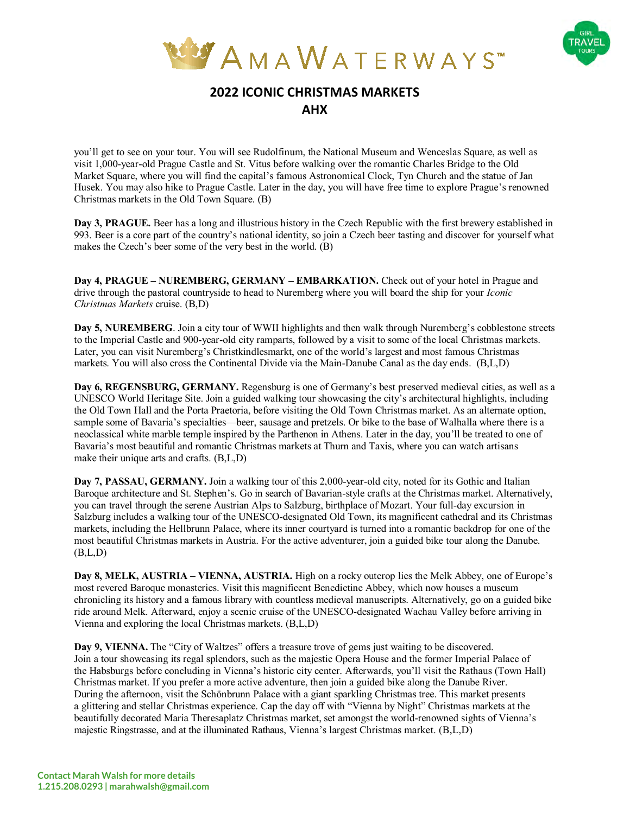



## **2022 ICONIC CHRISTMAS MARKETS AHX**

you'll get to see on your tour. You will see Rudolfinum, the National Museum and Wenceslas Square, as well as visit 1,000-year-old Prague Castle and St. Vitus before walking over the romantic Charles Bridge to the Old Market Square, where you will find the capital's famous Astronomical Clock, Tyn Church and the statue of Jan Husek. You may also hike to Prague Castle. Later in the day, you will have free time to explore Prague's renowned Christmas markets in the Old Town Square. (B)

**Day 3, PRAGUE.** Beer has a long and illustrious history in the Czech Republic with the first brewery established in 993. Beer is a core part of the country's national identity, so join a Czech beer tasting and discover for yourself what makes the Czech's beer some of the very best in the world. (B)

**Day 4, PRAGUE – NUREMBERG, GERMANY – EMBARKATION.** Check out of your hotel in Prague and drive through the pastoral countryside to head to Nuremberg where you will board the ship for your *Iconic Christmas Markets* cruise. (B,D)

**Day 5, NUREMBERG**. Join a city tour of WWII highlights and then walk through Nuremberg's cobblestone streets to the Imperial Castle and 900-year-old city ramparts, followed by a visit to some of the local Christmas markets. Later, you can visit Nuremberg's Christkindlesmarkt, one of the world's largest and most famous Christmas markets. You will also cross the Continental Divide via the Main-Danube Canal as the day ends. (B,L,D)

**Day 6, REGENSBURG, GERMANY.** Regensburg is one of Germany's best preserved medieval cities, as well as a UNESCO World Heritage Site. Join a guided walking tour showcasing the city's architectural highlights, including the Old Town Hall and the Porta Praetoria, before visiting the Old Town Christmas market. As an alternate option, sample some of Bavaria's specialties—beer, sausage and pretzels. Or bike to the base of Walhalla where there is a neoclassical white marble temple inspired by the Parthenon in Athens. Later in the day, you'll be treated to one of Bavaria's most beautiful and romantic Christmas markets at Thurn and Taxis, where you can watch artisans make their unique arts and crafts. (B,L,D)

**Day 7, PASSAU, GERMANY.** Join a walking tour of this 2,000-year-old city, noted for its Gothic and Italian Baroque architecture and St. Stephen's. Go in search of Bavarian-style crafts at the Christmas market. Alternatively, you can travel through the serene Austrian Alps to Salzburg, birthplace of Mozart. Your full-day excursion in Salzburg includes a walking tour of the UNESCO-designated Old Town, its magnificent cathedral and its Christmas markets, including the Hellbrunn Palace, where its inner courtyard is turned into a romantic backdrop for one of the most beautiful Christmas markets in Austria. For the active adventurer, join a guided bike tour along the Danube.  $(B,L,D)$ 

**Day 8, MELK, AUSTRIA – VIENNA, AUSTRIA.** High on a rocky outcrop lies the Melk Abbey, one of Europe's most revered Baroque monasteries. Visit this magnificent Benedictine Abbey, which now houses a museum chronicling its history and a famous library with countless medieval manuscripts. Alternatively, go on a guided bike ride around Melk. Afterward, enjoy a scenic cruise of the UNESCO-designated Wachau Valley before arriving in Vienna and exploring the local Christmas markets. (B,L,D)

**Day 9, VIENNA.** The "City of Waltzes" offers a treasure trove of gems just waiting to be discovered. Join a tour showcasing its regal splendors, such as the majestic Opera House and the former Imperial Palace of the Habsburgs before concluding in Vienna's historic city center. Afterwards, you'll visit the Rathaus (Town Hall) Christmas market. If you prefer a more active adventure, then join a guided bike along the Danube River. During the afternoon, visit the Schönbrunn Palace with a giant sparkling Christmas tree. This market presents a glittering and stellar Christmas experience. Cap the day off with "Vienna by Night" Christmas markets at the beautifully decorated Maria Theresaplatz Christmas market, set amongst the world-renowned sights of Vienna's majestic Ringstrasse, and at the illuminated Rathaus, Vienna's largest Christmas market. (B,L,D)